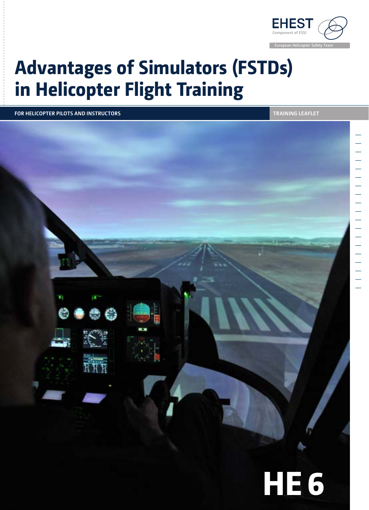

# **Advantages of Simulators (FSTDs) in Helicopter Flight Training**

**FOR HELICOPTER PILOTS AND INSTRUCTORS TRAINING LEAFLET**

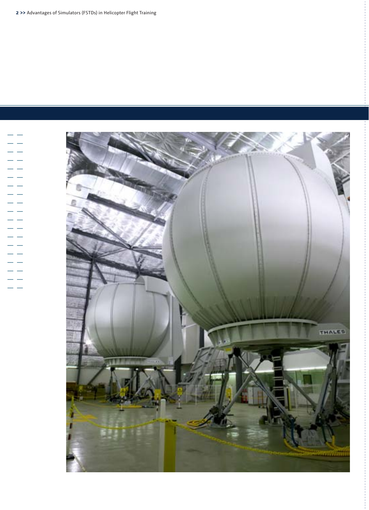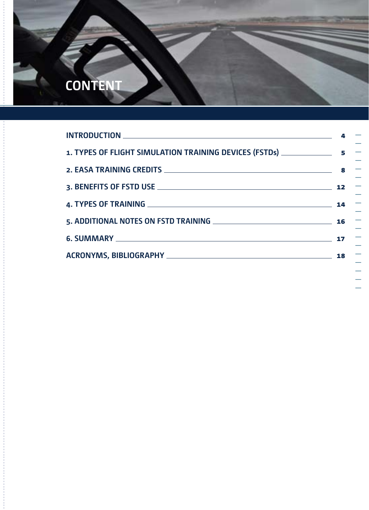

| 1. TYPES OF FLIGHT SIMULATION TRAINING DEVICES (FSTDs) __________________________ 5 |  |
|-------------------------------------------------------------------------------------|--|
|                                                                                     |  |
|                                                                                     |  |
| 4. TYPES OF TRAINING $\qquad \qquad$                                                |  |
|                                                                                     |  |
|                                                                                     |  |
|                                                                                     |  |
|                                                                                     |  |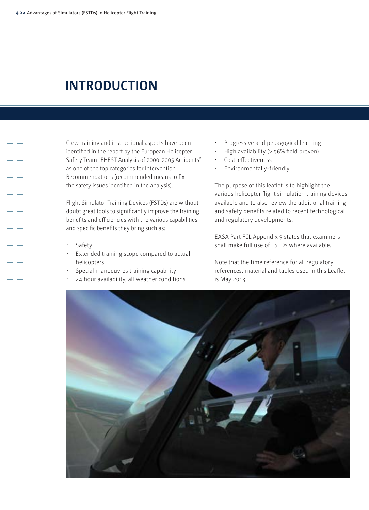# **INTRODUCTION**

Crew training and instructional aspects have been identified in the report by the European Helicopter Safety Team "EHEST Analysis of 2000-2005 Accidents" as one of the top categories for Intervention Recommendations (recommended means to fix the safety issues identified in the analysis).

Flight Simulator Training Devices (FSTDs) are without doubt great tools to significantly improve the training benefits and efficiencies with the various capabilities and specific benefits they bring such as:

- **Safety**
- Extended training scope compared to actual helicopters
- Special manoeuvres training capability
- 24 hour availability, all weather conditions
- Progressive and pedagogical learning
- High availability ( $> 96\%$  field proven)
- Cost-effectiveness
- Environmentally-friendly

The purpose of this leaflet is to highlight the various helicopter flight simulation training devices available and to also review the additional training and safety benefits related to recent technological and regulatory developments.

EASA Part FCL Appendix 9 states that examiners shall make full use of FSTDs where available.

Note that the time reference for all regulatory references, material and tables used in this Leaflet is May 2013.

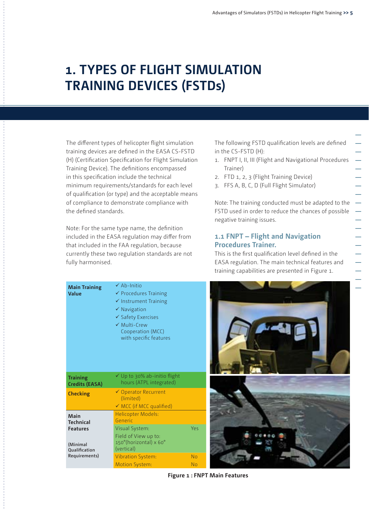# **1. TYPES OF FLIGHT SIMULATION TRAINING DEVICES (FSTDs)**

The different types of helicopter flight simulation training devices are defined in the EASA CS-FSTD (H) (Certification Specification for Flight Simulation Training Device). The definitions encompassed in this specification include the technical minimum requirements/standards for each level of qualification (or type) and the acceptable means of compliance to demonstrate compliance with the defined standards.

Note: For the same type name, the definition included in the EASA regulation may differ from that included in the FAA regulation, because currently these two regulation standards are not fully harmonised.

The following FSTD qualification levels are defined in the CS-FSTD (H):

- 1. FNPT I, II, III (Flight and Navigational Procedures Trainer)
- 2. FTD 1, 2, 3 (Flight Training Device)
- 3. FFS A, B, C, D (Full Flight Simulator)

Note: The training conducted must be adapted to the FSTD used in order to reduce the chances of possible negative training issues.

### **1.1 FNPT – Flight and Navigation Procedures Trainer.**

This is the first qualification level defined in the EASA regulation. The main technical features and training capabilities are presented in Figure 1.

| <b>Main Training</b><br>Value                | $\checkmark$ Ah-Initio<br>✔ Procedures Training<br>$\checkmark$ Instrument Training<br>$\checkmark$ Navigation<br>✔ Safety Exercises<br>✔ Multi-Crew<br>Cooperation (MCC)<br>with specific features |                |
|----------------------------------------------|-----------------------------------------------------------------------------------------------------------------------------------------------------------------------------------------------------|----------------|
| <b>Training</b><br>Credits (EASA)            | $\checkmark$ Up to 30% ab-initio flight<br>hours (ATPL integrated)                                                                                                                                  |                |
| <b>Checking</b>                              | ✔ Operator Recurrent<br>(limited)<br>$\checkmark$ MCC (if MCC qualified)                                                                                                                            |                |
| Main<br><b>Technical</b>                     | <b>Helicopter Models:</b><br>Generic                                                                                                                                                                |                |
| <b>Features</b><br>(Minimal<br>Qualification | Visual System:<br>Field of View up to:<br>$150^{\circ}$ (horizontal) $\times$ 60 $^{\circ}$<br>(vertical)                                                                                           | Yes            |
| Requirements)                                | <b>Vibration System:</b>                                                                                                                                                                            | <b>No</b>      |
|                                              | <b>Motion System:</b>                                                                                                                                                                               | N <sub>0</sub> |



**Figure 1 : FNPT Main Features**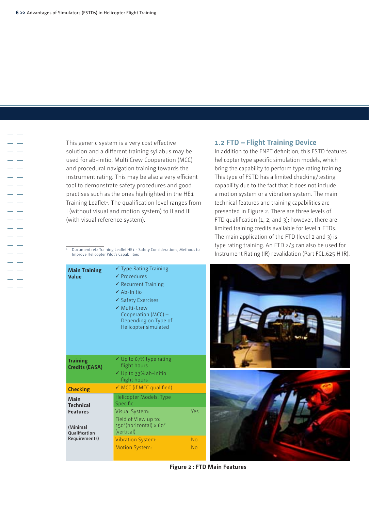This generic system is a very cost effective solution and a different training syllabus may be used for ab-initio, Multi Crew Cooperation (MCC) and procedural navigation training towards the instrument rating. This may be also a very efficient tool to demonstrate safety procedures and good practises such as the ones highlighted in the HE1 Training Leaflet<sup>1</sup>. The qualification level ranges from I (without visual and motion system) to II and III (with visual reference system).

#### **1.2 FTD – Flight Training Device**

In addition to the FNPT definition, this FSTD features helicopter type specific simulation models, which bring the capability to perform type rating training. This type of FSTD has a limited checking/testing capability due to the fact that it does not include a motion system or a vibration system. The main technical features and training capabilities are presented in Figure 2. There are three levels of FTD qualification (1, 2, and 3); however, there are limited training credits available for level 1 FTDs. The main application of the FTD (level 2 and 3) is type rating training. An FTD 2/3 can also be used for Instrument Rating (IR) revalidation (Part FCL.625 H IR).

<sup>1</sup> Document ref.: Training Leaflet HE1 - Safety Considerations, Methods to Improve Helicopter Pilot's Capabilities

| <b>Main Training</b><br><b>Value</b>     | $\checkmark$ Type Rating Training<br>$\checkmark$ Procedures<br>$\checkmark$ Recurrent Training<br>$\checkmark$ Ah-Initio<br>✔ Safety Exercises<br>$\checkmark$ Multi-Crew<br>Cooperation (MCC) -<br>Depending on Type of<br>Helicopter simulated |                |
|------------------------------------------|---------------------------------------------------------------------------------------------------------------------------------------------------------------------------------------------------------------------------------------------------|----------------|
| <b>Training</b><br><b>Credits (EASA)</b> | $\checkmark$ Up to 67% type rating<br>flight hours<br>$\checkmark$ Up to 33% ab-initio<br>flight hours                                                                                                                                            |                |
| <b>Checking</b>                          | $\checkmark$ MCC (if MCC qualified)                                                                                                                                                                                                               |                |
| Main<br><b>Technical</b>                 | Helicopter Models: Type<br>Specific                                                                                                                                                                                                               |                |
| <b>Features</b>                          | Visual System:                                                                                                                                                                                                                                    | Yes            |
| (Minimal<br><b>Qualification</b>         | Field of View up to:<br>150°(horizontal) x 60°<br>(vertical)                                                                                                                                                                                      |                |
| Requirements)                            | <b>Vibration System:</b>                                                                                                                                                                                                                          | N <sub>o</sub> |
|                                          | <b>Motion System:</b>                                                                                                                                                                                                                             | N <sub>0</sub> |



**Figure 2 : FTD Main Features**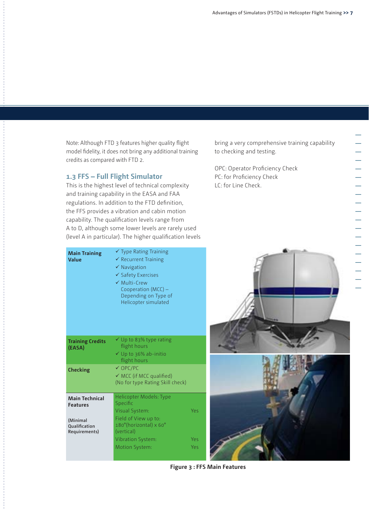Note: Although FTD 3 features higher quality flight model fidelity, it does not bring any additional training credits as compared with FTD 2.

### **1.3 FFS – Full Flight Simulator**

This is the highest level of technical complexity and training capability in the EASA and FAA regulations. In addition to the FTD definition, the FFS provides a vibration and cabin motion capability. The qualification levels range from A to D, although some lower levels are rarely used (level A in particular). The higher qualification levels

bring a very comprehensive training capability to checking and testing.

OPC: Operator Proficiency Check PC: for Proficiency Check LC: for Line Check.

| <b>Main Training</b><br><b>Value</b>                                                   | $\checkmark$ Type Rating Training<br>$\checkmark$ Recurrent Training<br>$\checkmark$ Navigation<br>✔ Safety Exercises<br>√ Multi-Crew<br>Cooperation (MCC) -<br>Depending on Type of<br>Helicopter simulated |            |  |
|----------------------------------------------------------------------------------------|--------------------------------------------------------------------------------------------------------------------------------------------------------------------------------------------------------------|------------|--|
| <b>Training Credits</b><br>(EASA)                                                      | $\checkmark$ Up to 83% type rating<br>flight hours<br>$\checkmark$ Up to 36% ab-initio<br>flight hours                                                                                                       |            |  |
| <b>Checking</b>                                                                        | $\checkmark$ OPC/PC<br>$\checkmark$ MCC (if MCC qualified)<br>(No for type Rating Skill check)                                                                                                               |            |  |
| <b>Main Technical</b><br><b>Features</b><br>(Minimal<br>Qualification<br>Requirements) | Helicopter Models: Type<br>Specific<br>Visual System:<br>Field of View up to:<br>$180^\circ$ (horizontal) $\times 60^\circ$<br>(vertical)<br><b>Vibration System:</b>                                        | Yes<br>Yes |  |
|                                                                                        | <b>Motion System:</b>                                                                                                                                                                                        | Yes        |  |



**Figure 3 : FFS Main Features**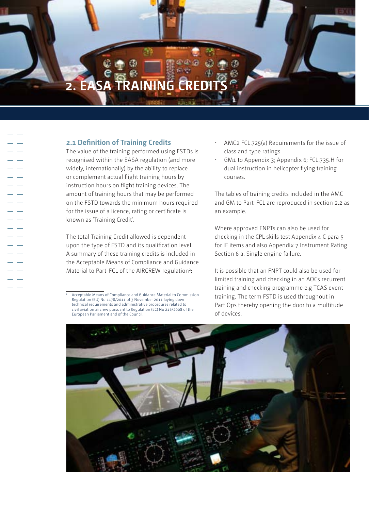# **2. EASA TRAINING**

#### **2.1 Definition of Training Credits**

The value of the training performed using FSTDs is recognised within the EASA regulation (and more widely, internationally) by the ability to replace or complement actual flight training hours by instruction hours on flight training devices. The amount of training hours that may be performed on the FSTD towards the minimum hours required for the issue of a licence, rating or certificate is known as 'Training Credit'.

The total Training Credit allowed is dependent upon the type of FSTD and its qualification level. A summary of these training credits is included in the Acceptable Means of Compliance and Guidance Material to Part-FCL of the AIRCREW regulation<sup>2</sup>: :

- AMC2 FCL.725(a) Requirements for the issue of class and type ratings
- GM1 to Appendix 3: Appendix 6: FCL.735.H for dual instruction in helicopter flying training courses.

The tables of training credits included in the AMC and GM to Part‑FCL are reproduced in section 2.2 as an example.

Where approved FNPTs can also be used for checking in the CPL skills test Appendix 4 C para 5 for IF items and also Appendix 7 Instrument Rating Section 6 a. Single engine failure.

It is possible that an FNPT could also be used for limited training and checking in an AOCs recurrent training and checking programme e.g TCAS event training. The term FSTD is used throughout in Part Ops thereby opening the door to a multitude of devices.



<sup>2</sup> Acceptable Means of Compliance and Guidance Material to Commission Regulation (EU) No 1178/2011 of 3 November 2011 laying down technical requirements and administrative procedures related to civil aviation aircrew pursuant to Regulation (EC) No 216/2008 of the European Parliament and of the Council.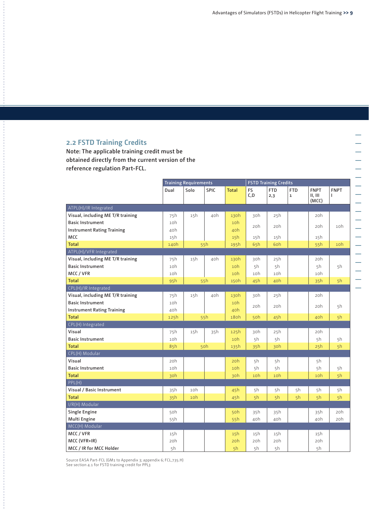-

----------------

 $\overline{\phantom{0}}$ 

## **2.2 FSTD Training Credits**

**Note: The applicable training credit must be obtained directly from the current version of the reference regulation Part‑FCL.**

|                                   | <b>Training Requirements</b> |      |             |                 | <b>FSTD Training Credits</b> |                   |                           |                                 |                  |
|-----------------------------------|------------------------------|------|-------------|-----------------|------------------------------|-------------------|---------------------------|---------------------------------|------------------|
|                                   | Dual                         | Solo | <b>SPIC</b> | <b>Total</b>    | <b>FS</b><br>C, D            | <b>FTD</b><br>2,3 | <b>FTD</b><br>$\mathbf 1$ | <b>FNPT</b><br>II, III<br>(MCC) | <b>FNPT</b><br>L |
| ATPL(H)/IR Integrated             |                              |      |             |                 |                              |                   |                           |                                 |                  |
| Visual, including ME T/R training | 75h                          | 15h  | 40h         | 130h            | 30h                          | 25h               |                           | 20h                             |                  |
| <b>Basic Instrument</b>           | 10h                          |      |             | 10 <sub>h</sub> | 20h                          | 20h               |                           | 20h                             | 10h              |
| <b>Instrument Rating Training</b> | 40h                          |      |             | 40h             |                              |                   |                           |                                 |                  |
| MCC                               | 15h                          |      |             | 15h             | 15h                          | 15h               |                           | 15h                             |                  |
| <b>Total</b>                      | 140h                         |      | 55h         | 195h            | 65h                          | 6oh               |                           | 55h                             | 10h              |
| ATPL(H)/VFR Integrated            |                              |      |             |                 |                              |                   |                           |                                 |                  |
| Visual, including ME T/R training | 75h                          | 15h  | 40h         | 130h            | 30h                          | 25h               |                           | 20h                             |                  |
| <b>Basic Instrument</b>           | 10h                          |      |             | 10h             | 5h                           | 5h                |                           | 5h                              | 5h               |
| MCC / VFR                         | 10h                          |      |             | 10h             | 10h                          | 10h               |                           | 10h                             |                  |
| <b>Total</b>                      | 95h                          |      | 55h         | 150h            | 45h                          | 40h               |                           | 35h                             | 5h               |
| CPL(H)/IR Integrated              |                              |      |             |                 |                              |                   |                           |                                 |                  |
| Visual, including ME T/R training | 75h                          | 15h  | 40h         | 130h            | 30h                          | 25h               |                           | 20h                             |                  |
| <b>Basic Instrument</b>           | 10h                          |      |             | 10 <sub>h</sub> | 20h                          | 20h               |                           | 20h                             | 5h               |
| <b>Instrument Rating Training</b> | 40h                          |      |             | 40h             |                              |                   |                           |                                 |                  |
| <b>Total</b>                      | 125h                         |      | 55h         | 180h            | 50h                          | 45h               |                           | 40h                             | 5h               |
| CPL(H) Integrated                 |                              |      |             |                 |                              |                   |                           |                                 |                  |
| Visual                            | 75h                          | 15h  | 35h         | 125h            | 30h                          | 25h               |                           | 20h                             |                  |
| <b>Basic Instrument</b>           | 10h                          |      |             | 10h             | 5h                           | 5h                |                           | 5h                              | 5h               |
| <b>Total</b>                      | 85h                          |      | 50h         | 135h            | 35h                          | 30h               |                           | 25h                             | 5 <sup>h</sup>   |
| CPL(H) Modular                    |                              |      |             |                 |                              |                   |                           |                                 |                  |
| Visual                            | 20h                          |      |             | 20h             | 5h                           | 5h                |                           | 5h                              |                  |
| <b>Basic Instrument</b>           | 10h                          |      |             | 10h             | 5h                           | 5h                |                           | 5h                              | 5h               |
| <b>Total</b>                      | 30h                          |      |             | 30h             | 10h                          | 10h               |                           | 10h                             | 5 <sup>h</sup>   |
| PPL(H)                            |                              |      |             |                 |                              |                   |                           |                                 |                  |
| Visual / Basic Instrument         | 35h                          | 10h  |             | 45h             | 5h                           | 5h                | 5h                        | 5h                              | 5h               |
| <b>Total</b>                      | 35h                          | 10h  |             | 45h             | 5h                           | 5h                | 5 <sup>h</sup>            | 5 <sup>h</sup>                  | 5 <sup>h</sup>   |
| I/R(H) Modular                    |                              |      |             |                 |                              |                   |                           |                                 |                  |
| Single Engine                     | 50h                          |      |             | 50h             | 35h                          | 35h               |                           | 35h                             | 20h              |
| Multi Engine                      | 55h                          |      |             | 55h             | 40h                          | 40h               |                           | 40h                             | 20h              |
| MCC(H) Modular                    |                              |      |             |                 |                              |                   |                           |                                 |                  |
| MCC / VFR                         | 15h                          |      |             | 15h             | 15h                          | 15h               |                           | 15h                             |                  |
| MCC (VFR+IR)                      | 20h                          |      |             | 20h             | 20h                          | 20h               |                           | 20h                             |                  |
| MCC / IR for MCC Holder           | 5h                           |      |             | 5h              | 5h                           | 5h                |                           | 5h                              |                  |

Source EASA Part‑FCL (GM1 to Appendix 3; appendix 6; FCL,735.H) See section 4.1 for FSTD training credit for PPL3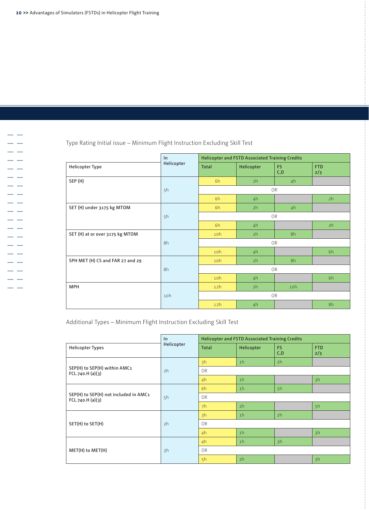Type Rating Initial issue – Minimum Flight Instruction Excluding Skill Test

|                                  | $\ln$      | <b>Helicopter and FSTD Associated Training Credits</b> |            |                   |                   |  |  |
|----------------------------------|------------|--------------------------------------------------------|------------|-------------------|-------------------|--|--|
| <b>Helicopter Type</b>           | Helicopter | <b>Total</b>                                           | Helicopter | <b>FS</b><br>C, D | <b>FTD</b><br>2/3 |  |  |
| SEP (H)                          |            | 6h                                                     | 2h         | 4h                |                   |  |  |
|                                  | 5h         | OR                                                     |            |                   |                   |  |  |
|                                  |            | 6h                                                     | 4h         |                   | 2 <sup>h</sup>    |  |  |
| SET (H) under 3175 kg MTOM       |            | 6h                                                     | 2h         | 4h                |                   |  |  |
|                                  | 5h         | OR                                                     |            |                   |                   |  |  |
|                                  |            | 6h                                                     | 4h         |                   | 2h                |  |  |
| SET (H) at or over 3175 kg MTOM  |            | 10h                                                    | 2h         | 8h                |                   |  |  |
|                                  | 8h         | OR                                                     |            |                   |                   |  |  |
|                                  |            | 10h                                                    | 4h         |                   | 6h                |  |  |
| SPH MET (H) CS and FAR 27 and 29 |            | 10h                                                    | 2h         | 8h                |                   |  |  |
|                                  | 8h         | OR                                                     |            |                   |                   |  |  |
|                                  |            | 10h                                                    | 4h         |                   | 6h                |  |  |
| <b>MPH</b>                       |            | 12h                                                    | 2h         | 10h               |                   |  |  |
|                                  | 10h        | OR                                                     |            |                   |                   |  |  |
|                                  |            | 12h                                                    | 4h         |                   | 8h                |  |  |

Additional Types – Minimum Flight Instruction Excluding Skill Test

|                                                           | $\ln$          | <b>Helicopter and FSTD Associated Training Credits</b> |                |                   |                   |  |
|-----------------------------------------------------------|----------------|--------------------------------------------------------|----------------|-------------------|-------------------|--|
| <b>Helicopter Types</b>                                   | Helicopter     | <b>Total</b>                                           | Helicopter     | <b>FS</b><br>C, D | <b>FTD</b><br>2/3 |  |
|                                                           |                | 3h                                                     | 1 <sup>h</sup> | 2 <sub>h</sub>    |                   |  |
| SEP(H) to SEP(H) within AMC1<br>FCL.740.H (a)(3)          | 2 <sub>h</sub> | <b>OR</b>                                              |                |                   |                   |  |
|                                                           |                | 4h                                                     | 1 <sub>h</sub> |                   | 3h                |  |
|                                                           | 5h             | 6h                                                     | 1 <sup>h</sup> | 5h                |                   |  |
| SEP(H) to SEP(H) not included in AMC1<br>FCL.740.H (a)(3) |                | <b>OR</b>                                              |                |                   |                   |  |
|                                                           |                | 7 <sup>h</sup>                                         | 2h             |                   | 5h                |  |
|                                                           | 2 <sub>h</sub> | 3h                                                     | 1 <sup>h</sup> | 2 <sub>h</sub>    |                   |  |
| SET(H) to SET(H)                                          |                | <b>OR</b>                                              |                |                   |                   |  |
|                                                           |                | 4 <sup>h</sup>                                         | 1 <sup>h</sup> |                   | 3h                |  |
| MET(H) to MET(H)                                          | 3h             | 4h                                                     | 1 <sup>h</sup> | 3h                |                   |  |
|                                                           |                | <b>OR</b>                                              |                |                   |                   |  |
|                                                           |                | 5h                                                     | 2h             |                   | 3h                |  |

 $-$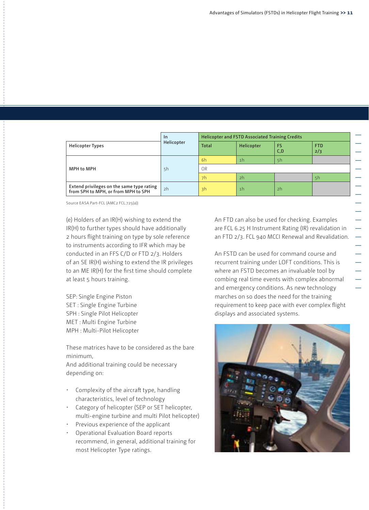|                                                                                  | <b>In</b><br>Helicopter | <b>Helicopter and FSTD Associated Training Credits</b> |                   |            |                   |  |
|----------------------------------------------------------------------------------|-------------------------|--------------------------------------------------------|-------------------|------------|-------------------|--|
| <b>Helicopter Types</b>                                                          |                         | <b>Total</b>                                           | <b>Helicopter</b> | FS<br>C, D | <b>FTD</b><br>2/3 |  |
| <b>MPH to MPH</b>                                                                | 5h                      | -6h                                                    | 1 <sup>h</sup>    | 5h         |                   |  |
|                                                                                  |                         | 0 <sub>R</sub>                                         |                   |            |                   |  |
|                                                                                  |                         | 7h                                                     | <sub>2</sub> h    |            | 5h                |  |
| Extend privileges on the same type rating<br>from SPH to MPH, or from MPH to SPH | 2h                      | зh                                                     | 1 <sup>h</sup>    | 2h         |                   |  |

Source EASA Part‑FCL (AMC2 FCL.725(a))

(e) Holders of an IR(H) wishing to extend the IR(H) to further types should have additionally 2 hours flight training on type by sole reference to instruments according to IFR which may be conducted in an FFS C/D or FTD 2/3. Holders of an SE IR(H) wishing to extend the IR privileges to an ME IR(H) for the first time should complete at least 5 hours training.

SEP: Single Engine Piston SET : Single Engine Turbine SPH : Single Pilot Helicopter MET : Multi Engine Turbine MPH : Multi‑Pilot Helicopter

These matrices have to be considered as the bare minimum,

And additional training could be necessary depending on:

- • Complexity of the aircraft type, handling characteristics, level of technology
- Category of helicopter (SEP or SET helicopter, multi‑engine turbine and multi Pilot helicopter)
- • Previous experience of the applicant
- Operational Evaluation Board reports recommend, in general, additional training for most Helicopter Type ratings.

An FTD can also be used for checking. Examples are FCL 6.25 H Instrument Rating (IR) revalidation in an FTD 2/3. FCL 940 MCCI Renewal and Revalidation.

An FSTD can be used for command course and recurrent training under LOFT conditions. This is where an FSTD becomes an invaluable tool by combing real time events with complex abnormal and emergency conditions. As new technology marches on so does the need for the training requirement to keep pace with ever complex flight displays and associated systems.

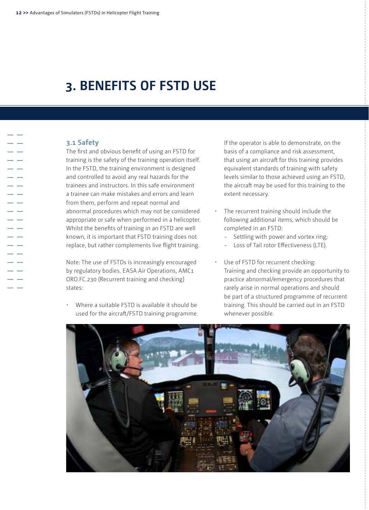# **3. BENEFITS OF FSTD USE**

#### **3.1 Safety**

The first and obvious benefit of using an FSTD for training is the safety of the training operation itself. In the FSTD, the training environment is designed and controlled to avoid any real hazards for the trainees and instructors. In this safe environment a trainee can make mistakes and errors and learn from them, perform and repeat normal and abnormal procedures which may not be considered appropriate or safe when performed in a helicopter. Whilst the benefits of training in an FSTD are well known, it is important that FSTD training does not replace, but rather complements live flight training.

Note: The use of FSTDs is increasingly encouraged by regulatory bodies. EASA Air Operations, AMC1 ORO.FC.230 (Recurrent training and checking) states:

Where a suitable FSTD is available it should be used for the aircraft/FSTD training programme. If the operator is able to demonstrate, on the basis of a compliance and risk assessment, that using an aircraft for this training provides equivalent standards of training with safety levels similar to those achieved using an FSTD, the aircraft may be used for this training to the extent necessary.

- The recurrent training should include the following additional items, which should be completed in an FSTD:
	- Settling with power and vortex ring;
	- Loss of Tail rotor Effectiveness (LTE).
- Use of FSTD for recurrent checking: Training and checking provide an opportunity to practice abnormal/emergency procedures that rarely arise in normal operations and should be part of a structured programme of recurrent training. This should be carried out in an FSTD whenever possible.

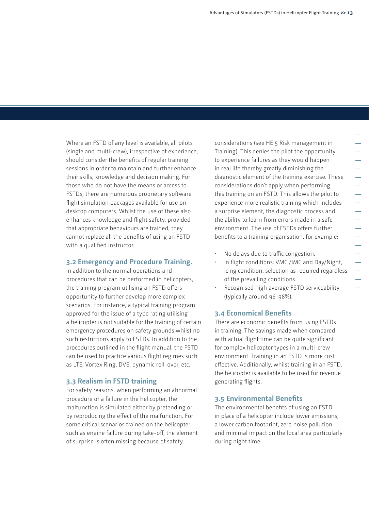Where an FSTD of any level is available, all pilots (single and multi-crew), irrespective of experience, should consider the benefits of regular training sessions in order to maintain and further enhance their skills, knowledge and decision making. For those who do not have the means or access to FSTDs, there are numerous proprietary software flight simulation packages available for use on desktop computers. Whilst the use of these also enhances knowledge and flight safety, provided that appropriate behaviours are trained, they cannot replace all the benefits of using an FSTD with a qualified instructor.

## **3.2 Emergency and Procedure Training.**

In addition to the normal operations and procedures that can be performed in helicopters, the training program utilising an FSTD offers opportunity to further develop more complex scenarios. For instance, a typical training program approved for the issue of a type rating utilising a helicopter is not suitable for the training of certain emergency procedures on safety grounds whilst no such restrictions apply to FSTDs. In addition to the procedures outlined in the flight manual, the FSTD can be used to practice various flight regimes such as LTE, Vortex Ring, DVE, dynamic roll-over, etc.

## **3.3 Realism in FSTD training**

For safety reasons, when performing an abnormal procedure or a failure in the helicopter, the malfunction is simulated either by pretending or by reproducing the effect of the malfunction. For some critical scenarios trained on the helicopter such as engine failure during take-off, the element of surprise is often missing because of safety

considerations (see HE 5 Risk management in Training). This denies the pilot the opportunity to experience failures as they would happen in real life thereby greatly diminishing the diagnostic element of the training exercise. These considerations don't apply when performing this training on an FSTD. This allows the pilot to experience more realistic training which includes a surprise element, the diagnostic process and the ability to learn from errors made in a safe environment. The use of FSTDs offers further benefits to a training organisation, for example:

- No delays due to traffic congestion.
- In flight conditions: VMC /IMC and Day/Night, icing condition, selection as required regardless of the prevailing conditions
- Recognised high average FSTD serviceability (typically around 96-98%).

## **3.4 Economical Benefits**

There are economic benefits from using FSTDs in training. The savings made when compared with actual flight time can be quite significant for complex helicopter types in a multi-crew environment. Training in an FSTD is more cost effective. Additionally, whilst training in an FSTD, the helicopter is available to be used for revenue generating flights.

## **3.5 Environmental Benefits**

The environmental benefits of using an FSTD in place of a helicopter include lower emissions, a lower carbon footprint, zero noise pollution and minimal impact on the local area particularly during night time.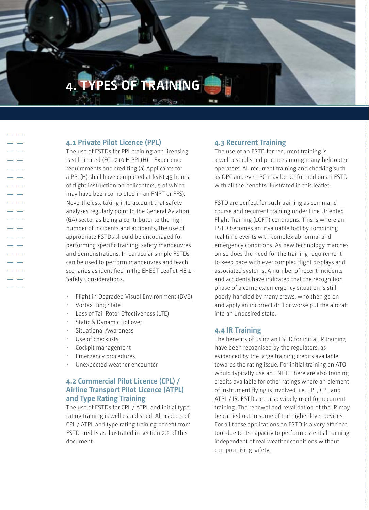

#### **4.1 Private Pilot Licence (PPL)**

The use of FSTDs for PPL training and licensing is still limited (FCL.210.H PPL(H) - Experience requirements and crediting (a) Applicants for a PPL(H) shall have completed at least 45 hours of flight instruction on helicopters, 5 of which may have been completed in an FNPT or FFS). Nevertheless, taking into account that safety analyses regularly point to the General Aviation (GA) sector as being a contributor to the high number of incidents and accidents, the use of appropriate FSTDs should be encouraged for performing specific training, safety manoeuvres and demonstrations. In particular simple FSTDs can be used to perform manoeuvres and teach scenarios as identified in the EHEST Leaflet HE 1 - Safety Considerations.

- Flight in Degraded Visual Environment (DVE)
- Vortex Ring State
- Loss of Tail Rotor Effectiveness (LTE)
- Static & Dynamic Rollover
- Situational Awareness
- Use of checklists
- Cockpit management
- **Emergency procedures**
- Unexpected weather encounter

## **4.2 Commercial Pilot Licence (CPL) / Airline Transport Pilot Licence (ATPL) and Type Rating Training**

The use of FSTDs for CPL / ATPL and initial type rating training is well established. All aspects of CPL / ATPL and type rating training benefit from FSTD credits as illustrated in section 2.2 of this document.

#### **4.3 Recurrent Training**

The use of an FSTD for recurrent training is a well-established practice among many helicopter operators. All recurrent training and checking such as OPC and even PC may be performed on an FSTD with all the benefits illustrated in this leaflet.

FSTD are perfect for such training as command course and recurrent training under Line Oriented Flight Training (LOFT) conditions. This is where an FSTD becomes an invaluable tool by combining real time events with complex abnormal and emergency conditions. As new technology marches on so does the need for the training requirement to keep pace with ever complex flight displays and associated systems. A number of recent incidents and accidents have indicated that the recognition phase of a complex emergency situation is still poorly handled by many crews, who then go on and apply an incorrect drill or worse put the aircraft into an undesired state.

#### **4.4 IR Training**

The benefits of using an FSTD for initial IR training have been recognised by the regulators, as evidenced by the large training credits available towards the rating issue. For initial training an ATO would typically use an FNPT. There are also training credits available for other ratings where an element of instrument flying is involved, i.e. PPL, CPL and ATPL / IR. FSTDs are also widely used for recurrent training. The renewal and revalidation of the IR may be carried out in some of the higher level devices. For all these applications an FSTD is a very efficient tool due to its capacity to perform essential training independent of real weather conditions without compromising safety.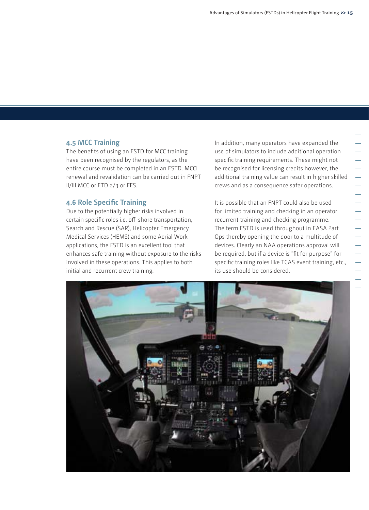#### **4.5 MCC Training**

The benefits of using an FSTD for MCC training have been recognised by the regulators, as the entire course must be completed in an FSTD. MCCI renewal and revalidation can be carried out in FNPT ll/lll MCC or FTD 2/3 or FFS.

#### **4.6 Role Specific Training**

Due to the potentially higher risks involved in certain specific roles i.e. off‑shore transportation, Search and Rescue (SAR), Helicopter Emergency Medical Services (HEMS) and some Aerial Work applications, the FSTD is an excellent tool that enhances safe training without exposure to the risks involved in these operations. This applies to both initial and recurrent crew training.

In addition, many operators have expanded the use of simulators to include additional operation specific training requirements. These might not be recognised for licensing credits however, the additional training value can result in higher skilled crews and as a consequence safer operations.

It is possible that an FNPT could also be used for limited training and checking in an operator recurrent training and checking programme. The term FSTD is used throughout in EASA Part Ops thereby opening the door to a multitude of devices. Clearly an NAA operations approval will be required, but if a device is "fit for purpose" for specific training roles like TCAS event training, etc., its use should be considered.

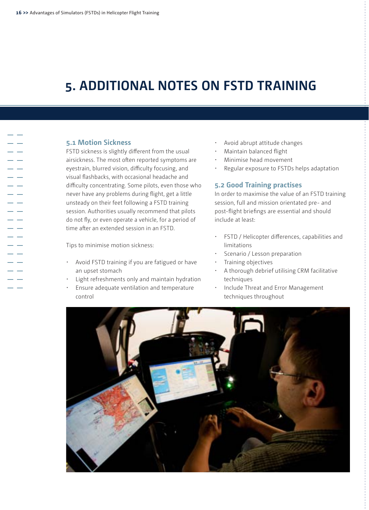# **5. ADDITIONAL NOTES ON FSTD TRAINING**

#### **5.1 Motion Sickness**

FSTD sickness is slightly different from the usual airsickness. The most often reported symptoms are eyestrain, blurred vision, difficulty focusing, and visual flashbacks, with occasional headache and difficulty concentrating. Some pilots, even those who never have any problems during flight, get a little unsteady on their feet following a FSTD training session. Authorities usually recommend that pilots do not fly, or even operate a vehicle, for a period of time after an extended session in an FSTD.

Tips to minimise motion sickness:

- Avoid FSTD training if you are fatigued or have an upset stomach
- Light refreshments only and maintain hydration
- Ensure adequate ventilation and temperature control
- Avoid abrupt attitude changes
- Maintain balanced flight
- Minimise head movement
- Regular exposure to FSTDs helps adaptation

#### **5.2 Good Training practises**

In order to maximise the value of an FSTD training session, full and mission orientated pre- and post-flight briefings are essential and should include at least:

- FSTD / Helicopter differences, capabilities and limitations
- Scenario / Lesson preparation
- Training objectives
- A thorough debrief utilising CRM facilitative techniques
- Include Threat and Error Management techniques throughout

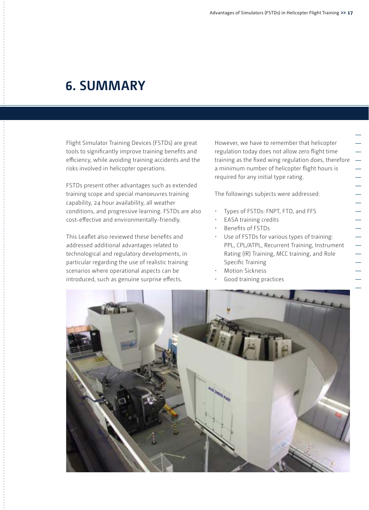# **6. SUMMARY**

Flight Simulator Training Devices (FSTDs) are great tools to significantly improve training benefits and efficiency, while avoiding training accidents and the risks involved in helicopter operations.

FSTDs present other advantages such as extended training scope and special manoeuvres training capability, 24 hour availability, all weather conditions, and progressive learning. FSTDs are also cost-effective and environmentally-friendly.

This Leaflet also reviewed these benefits and addressed additional advantages related to technological and regulatory developments, in particular regarding the use of realistic training scenarios where operational aspects can be introduced, such as genuine surprise effects.

However, we have to remember that helicopter regulation today does not allow zero flight time training as the fixed wing regulation does, therefore a minimum number of helicopter flight hours is required for any initial type rating.

The followings subjects were addressed:

- Types of FSTDs: FNPT, FTD, and FFS
- **EASA training credits**
- Benefits of FSTDs
- Use of FSTDs for various types of training: PPL, CPL/ATPL, Recurrent Training, Instrument Rating (IR) Training, MCC training, and Role Specific Training
- **Motion Sickness**
- Good training practices

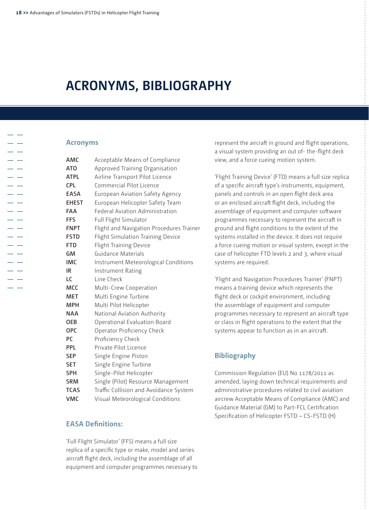# **ACRONYMS, BIBLIOGRAPHY**

#### **Acronyms**

| AMC          | Acceptable Means of Compliance           |
|--------------|------------------------------------------|
| ATO          | Approved Training Organisation           |
| <b>ATPL</b>  | Airline Transport Pilot Licence          |
| <b>CPL</b>   | <b>Commercial Pilot Licence</b>          |
| EASA         | European Aviation Safety Agency          |
| <b>EHEST</b> | European Helicopter Safety Team          |
| <b>FAA</b>   | <b>Federal Aviation Administration</b>   |
| <b>FFS</b>   | Full Flight Simulator                    |
| <b>FNPT</b>  | Flight and Navigation Procedures Trainer |
| <b>FSTD</b>  | <b>Flight Simulation Training Device</b> |
| <b>FTD</b>   | <b>Flight Training Device</b>            |
| GM           | Guidance Materials                       |
| IMC          | Instrument Meteorological Conditions     |
| IR           | <b>Instrument Rating</b>                 |
| LC           | Line Check                               |
| MCC          | Multi-Crew Cooperation                   |
| MET          | Multi Engine Turbine                     |
| <b>MPH</b>   | Multi Pilot Helicopter                   |
| <b>NAA</b>   | National Aviation Authority              |
| <b>OEB</b>   | Operational Evaluation Board             |
| <b>OPC</b>   | Operator Proficiency Check               |
| PC           | Proficiency Check                        |
| <b>PPL</b>   | Private Pilot Licence                    |
| <b>SEP</b>   | Single Engine Piston                     |
| <b>SET</b>   | Single Engine Turbine                    |
| <b>SPH</b>   | Single-Pilot Helicopter                  |
| <b>SRM</b>   | Single (Pilot) Resource Management       |
| <b>TCAS</b>  | Traffic Collision and Avoidance System   |
| <b>VMC</b>   | Visual Meteorological Conditions         |

### **EASA Definitions:**

'Full Flight Simulator' (FFS) means a full size replica of a specific type or make, model and series aircraft flight deck, including the assemblage of all equipment and computer programmes necessary to represent the aircraft in ground and flight operations, a visual system providing an out of- the-flight deck view, and a force cueing motion system.

'Flight Training Device' (FTD) means a full size replica of a specific aircraft type's instruments, equipment, panels and controls in an open flight deck area or an enclosed aircraft flight deck, including the assemblage of equipment and computer software programmes necessary to represent the aircraft in ground and flight conditions to the extent of the systems installed in the device. It does not require a force cueing motion or visual system, except in the case of helicopter FTD levels 2 and 3, where visual systems are required.

'Flight and Navigation Procedures Trainer' (FNPT) means a training device which represents the flight deck or cockpit environment, including the assemblage of equipment and computer programmes necessary to represent an aircraft type or class in flight operations to the extent that the systems appear to function as in an aircraft.

### **Bibliography**

Commission Regulation (EU) No 1178/2011 as amended, laying down technical requirements and administrative procedures related to civil aviation aircrew Acceptable Means of Compliance (AMC) and Guidance Material (GM) to Part‑FCL Certification Specification of Helicopter FSTD – CS-FSTD (H)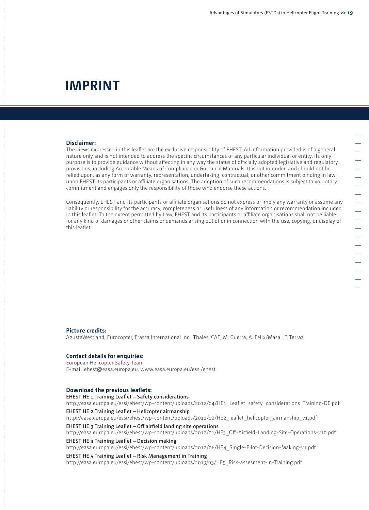# **IMPRINT**

#### **Disclaimer:**

The views expressed in this leaflet are the exclusive responsibility of EHEST. All information provided is of a general nature only and is not intended to address the specific circumstances of any particular individual or entity. Its only purpose is to provide guidance without affecting in any way the status of officially adopted legislative and regulatory provisions, including Acceptable Means of Compliance or Guidance Materials. It is not intended and should not be relied upon, as any form of warranty, representation, undertaking, contractual, or other commitment binding in law upon EHEST its participants or affiliate organisations. The adoption of such recommendations is subject to voluntary commitment and engages only the responsibility of those who endorse these actions.

Consequently, EHEST and its participants or affiliate organisations do not express or imply any warranty or assume any liability or responsibility for the accuracy, completeness or usefulness of any information or recommendation included in this leaflet. To the extent permitted by Law, EHEST and its participants or affiliate organisations shall not be liable for any kind of damages or other claims or demands arising out of or in connection with the use, copying, or display of this leaflet.

#### **Picture credits:**

AgustaWestland, Eurocopter, Frasca International Inc., Thales, CAE, M. Guerra, A. Felix/Masai, P. Terraz

#### **Contact details for enquiries:**

European Helicopter Safety Team E-mail: [ehest@easa.europa.eu,](mailto:ehest@easa.europa.eu) [www.easa.europa.eu/essi/ehest](http://www.easa.europa.eu/essi/ehest)

#### **Download the previous leaflets:**

**EHEST HE 1 Training Leaflet – Safety considerations** http://easa.europa.eu/essi/ehest/wp-content/uploads/2012/04/HE1\_Leaflet\_safety\_considerations\_Training-DE.pdf **EHEST HE 2 Training Leaflet – Helicopter airmanship**

http://easa.europa.eu/essi/ehest/wp-content/uploads/2011/12/HE2\_leaflet\_helicopter\_airmanship\_v1.pdf

**EHEST HE 3 Training Leaflet – Off airfield landing site operations** [http://easa.europa.eu/essi/ehest/wp‑content/uploads/2012/01/HE3\\_Off‑Airfield‑Landing‑Site‑Operations‑v10.pdf](http://easa.europa.eu/essi/ehest/wp-content/uploads/2012/01/HE3_Off-Airfield-Landing-Site-Operations-v10.pdf)

#### **EHEST HE 4 Training Leaflet – Decision making**

http://easa.europa.eu/essi/ehest/wp-content/uploads/2012/06/HE4\_Single-Pilot-Decision-Making-v1.pdf

**EHEST HE 5 Training Leaflet – Risk Management in Training**

http://easa.europa.eu/essi/ehest/wp-content/uploads/2013/03/HE5\_Risk-assesment-in-Training.pdf